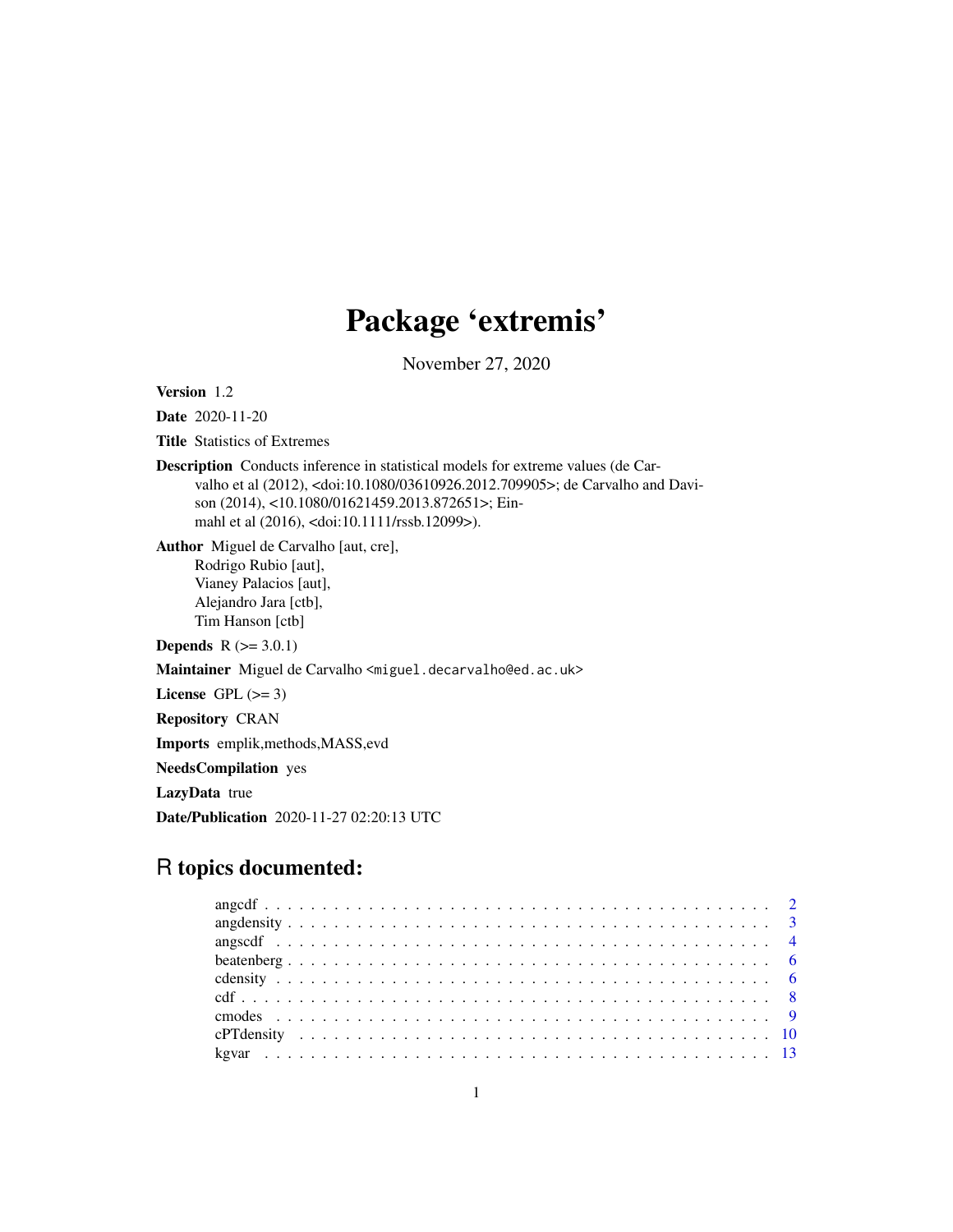# Package 'extremis'

November 27, 2020

Version 1.2

Date 2020-11-20

Title Statistics of Extremes

Description Conducts inference in statistical models for extreme values (de Carvalho et al (2012), <doi:10.1080/03610926.2012.709905>; de Carvalho and Davison (2014), <10.1080/01621459.2013.872651>; Einmahl et al (2016), <doi:10.1111/rssb.12099>).

Author Miguel de Carvalho [aut, cre], Rodrigo Rubio [aut], Vianey Palacios [aut], Alejandro Jara [ctb], Tim Hanson [ctb]

**Depends**  $R (= 3.0.1)$ 

Maintainer Miguel de Carvalho <miguel.decarvalho@ed.ac.uk>

License GPL  $(>= 3)$ 

Repository CRAN

Imports emplik,methods,MASS,evd

NeedsCompilation yes

LazyData true

Date/Publication 2020-11-27 02:20:13 UTC

## R topics documented: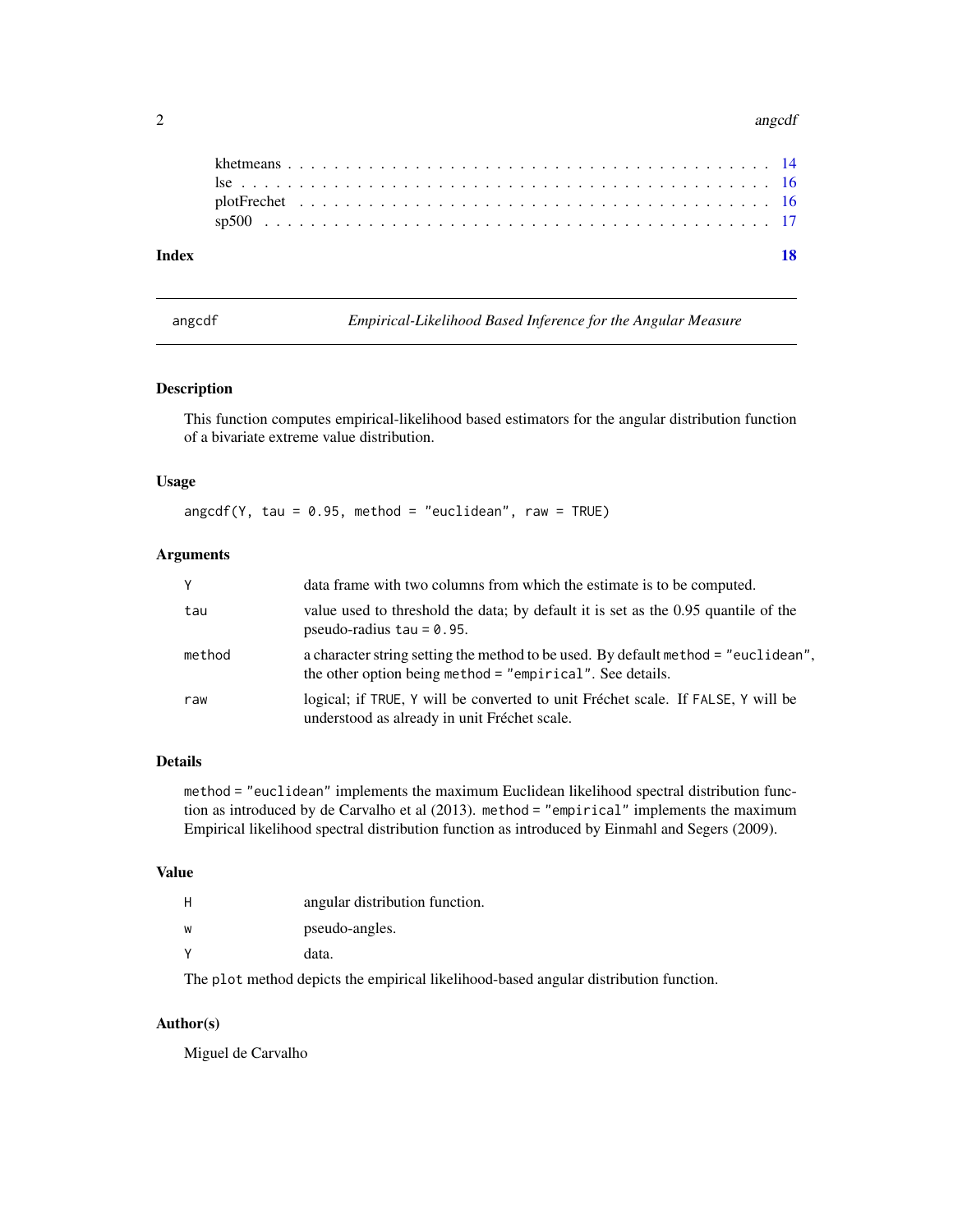#### <span id="page-1-0"></span>2 angolaethau an chomhair an chomhair an chomhair an chomhair an chomhair an chomhair an chomhair an chomhair an chomhair an chomhair an chomhair an chomhair an chomhair an chomhair an chomhair an chomhair an chomhair an c

| Index |  |  |  |  |  |  |  |  |  |  |  |  |  |  |  |  |  |  |  |  |  |  |
|-------|--|--|--|--|--|--|--|--|--|--|--|--|--|--|--|--|--|--|--|--|--|--|
|       |  |  |  |  |  |  |  |  |  |  |  |  |  |  |  |  |  |  |  |  |  |  |
|       |  |  |  |  |  |  |  |  |  |  |  |  |  |  |  |  |  |  |  |  |  |  |
|       |  |  |  |  |  |  |  |  |  |  |  |  |  |  |  |  |  |  |  |  |  |  |
|       |  |  |  |  |  |  |  |  |  |  |  |  |  |  |  |  |  |  |  |  |  |  |

angcdf *Empirical-Likelihood Based Inference for the Angular Measure*

#### Description

This function computes empirical-likelihood based estimators for the angular distribution function of a bivariate extreme value distribution.

#### Usage

 $angcdf(Y, tau = 0.95, method = "euclidean", raw = TRUE)$ 

#### Arguments

| Y      | data frame with two columns from which the estimate is to be computed.                                                                          |
|--------|-------------------------------------------------------------------------------------------------------------------------------------------------|
| tau    | value used to threshold the data; by default it is set as the 0.95 quantile of the<br>pseudo-radius $tau = 0.95$ .                              |
| method | a character string setting the method to be used. By default method = "euclidean",<br>the other option being method = "empirical". See details. |
| raw    | logical; if TRUE, Y will be converted to unit Fréchet scale. If FALSE, Y will be<br>understood as already in unit Fréchet scale.                |

#### Details

method = "euclidean" implements the maximum Euclidean likelihood spectral distribution function as introduced by de Carvalho et al (2013). method = "empirical" implements the maximum Empirical likelihood spectral distribution function as introduced by Einmahl and Segers (2009).

#### Value

| н | angular distribution function. |
|---|--------------------------------|
| w | pseudo-angles.                 |
| v | data.                          |

The plot method depicts the empirical likelihood-based angular distribution function.

#### Author(s)

Miguel de Carvalho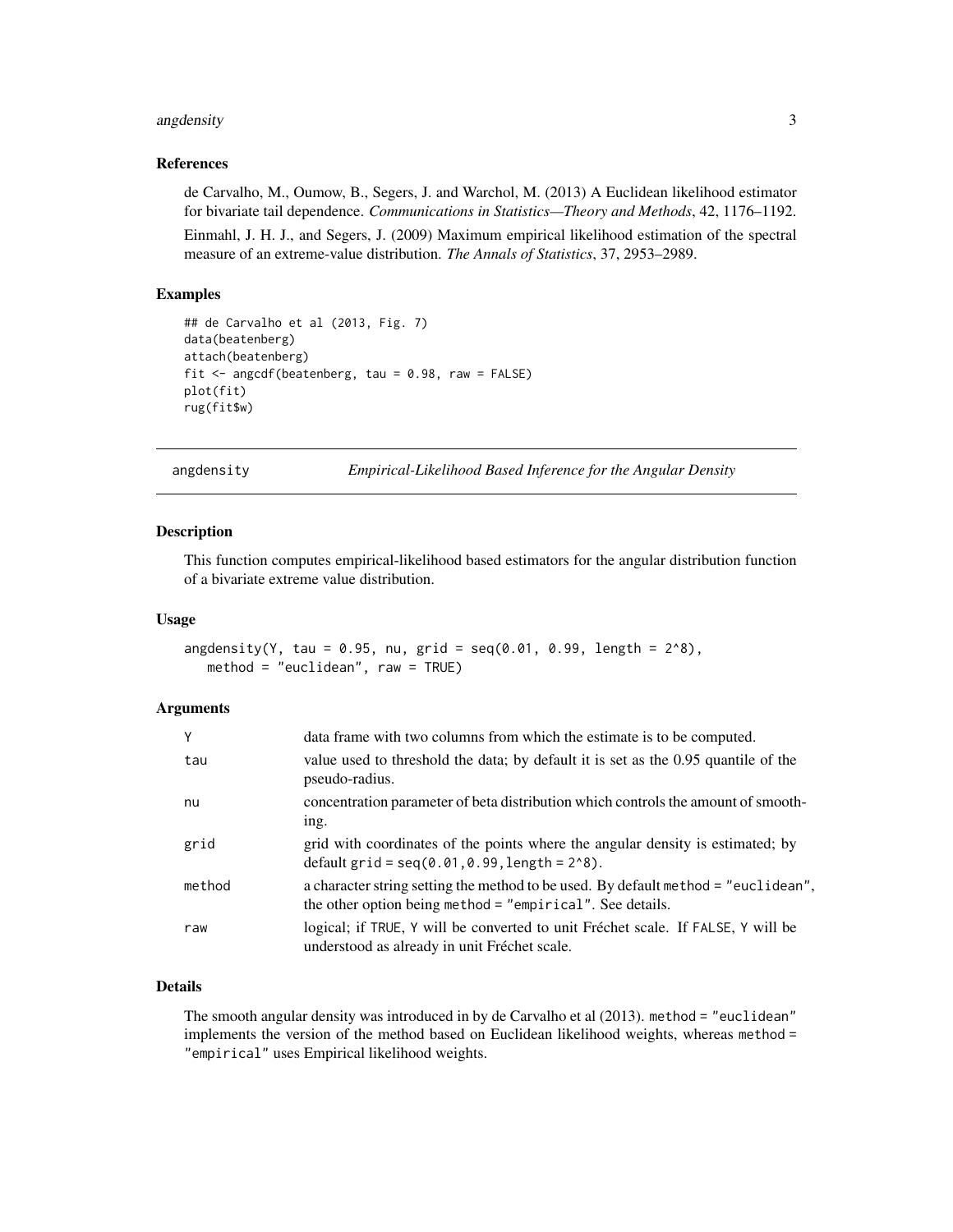#### <span id="page-2-0"></span>angdensity 3

#### References

de Carvalho, M., Oumow, B., Segers, J. and Warchol, M. (2013) A Euclidean likelihood estimator for bivariate tail dependence. *Communications in Statistics—Theory and Methods*, 42, 1176–1192.

Einmahl, J. H. J., and Segers, J. (2009) Maximum empirical likelihood estimation of the spectral measure of an extreme-value distribution. *The Annals of Statistics*, 37, 2953–2989.

#### Examples

```
## de Carvalho et al (2013, Fig. 7)
data(beatenberg)
attach(beatenberg)
fit \leq angcdf(beatenberg, tau = 0.98, raw = FALSE)
plot(fit)
rug(fit$w)
```
angdensity *Empirical-Likelihood Based Inference for the Angular Density*

#### Description

This function computes empirical-likelihood based estimators for the angular distribution function of a bivariate extreme value distribution.

#### Usage

```
angdensity(Y, tau = 0.95, nu, grid = seq(0.01, 0.99, length = 2<sup>0</sup>),
   method = "euclidean", raw = TRUE)
```
#### Arguments

| Y      | data frame with two columns from which the estimate is to be computed.                                                                            |
|--------|---------------------------------------------------------------------------------------------------------------------------------------------------|
| tau    | value used to threshold the data; by default it is set as the 0.95 quantile of the<br>pseudo-radius.                                              |
| nu     | concentration parameter of beta distribution which controls the amount of smooth-<br>ing.                                                         |
| grid   | grid with coordinates of the points where the angular density is estimated; by<br>default $grid = seq(0.01, 0.99, length = 208)$ .                |
| method | a character string setting the method to be used. By default method = "euclidean",<br>the other option being method $=$ "empirical". See details. |
| raw    | logical; if TRUE, Y will be converted to unit Fréchet scale. If FALSE, Y will be<br>understood as already in unit Fréchet scale.                  |

#### Details

The smooth angular density was introduced in by de Carvalho et al (2013). method = "euclidean" implements the version of the method based on Euclidean likelihood weights, whereas method = "empirical" uses Empirical likelihood weights.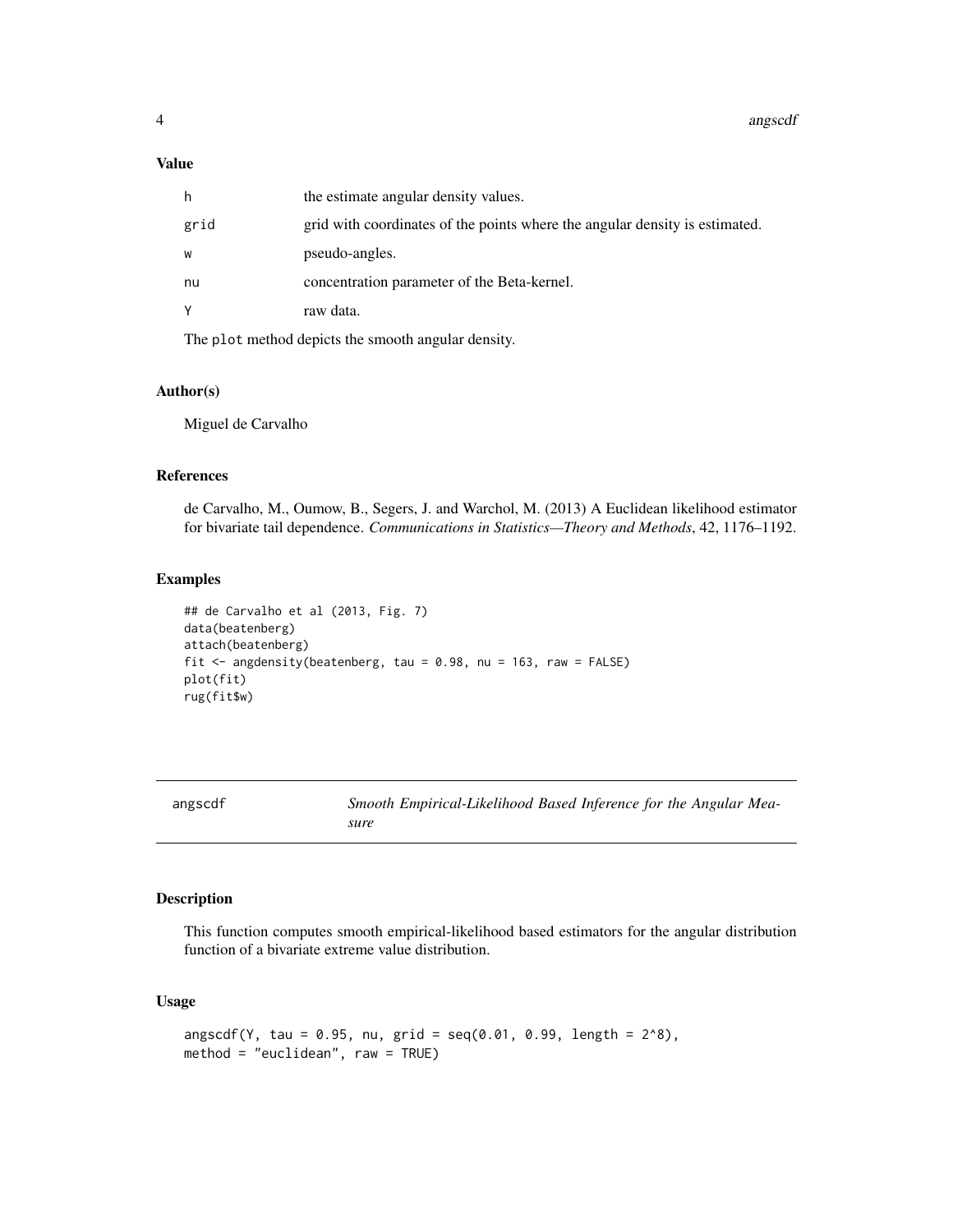#### <span id="page-3-0"></span>Value

| h    | the estimate angular density values.                                        |
|------|-----------------------------------------------------------------------------|
| grid | grid with coordinates of the points where the angular density is estimated. |
| W    | pseudo-angles.                                                              |
| nu   | concentration parameter of the Beta-kernel.                                 |
| Υ    | raw data.                                                                   |
|      |                                                                             |

The plot method depicts the smooth angular density.

#### Author(s)

Miguel de Carvalho

#### References

de Carvalho, M., Oumow, B., Segers, J. and Warchol, M. (2013) A Euclidean likelihood estimator for bivariate tail dependence. *Communications in Statistics—Theory and Methods*, 42, 1176–1192.

#### Examples

```
## de Carvalho et al (2013, Fig. 7)
data(beatenberg)
attach(beatenberg)
fit \leq angdensity(beatenberg, tau = 0.98, nu = 163, raw = FALSE)
plot(fit)
rug(fit$w)
```

| angscdf | Smooth Empirical-Likelihood Based Inference for the Angular Mea- |
|---------|------------------------------------------------------------------|
|         | sure                                                             |

#### Description

This function computes smooth empirical-likelihood based estimators for the angular distribution function of a bivariate extreme value distribution.

#### Usage

```
angscdf(Y, tau = 0.95, nu, grid = seq(0.01, 0.99, length = 2<sup>0</sup>),method = "euclidean", raw = TRUE)
```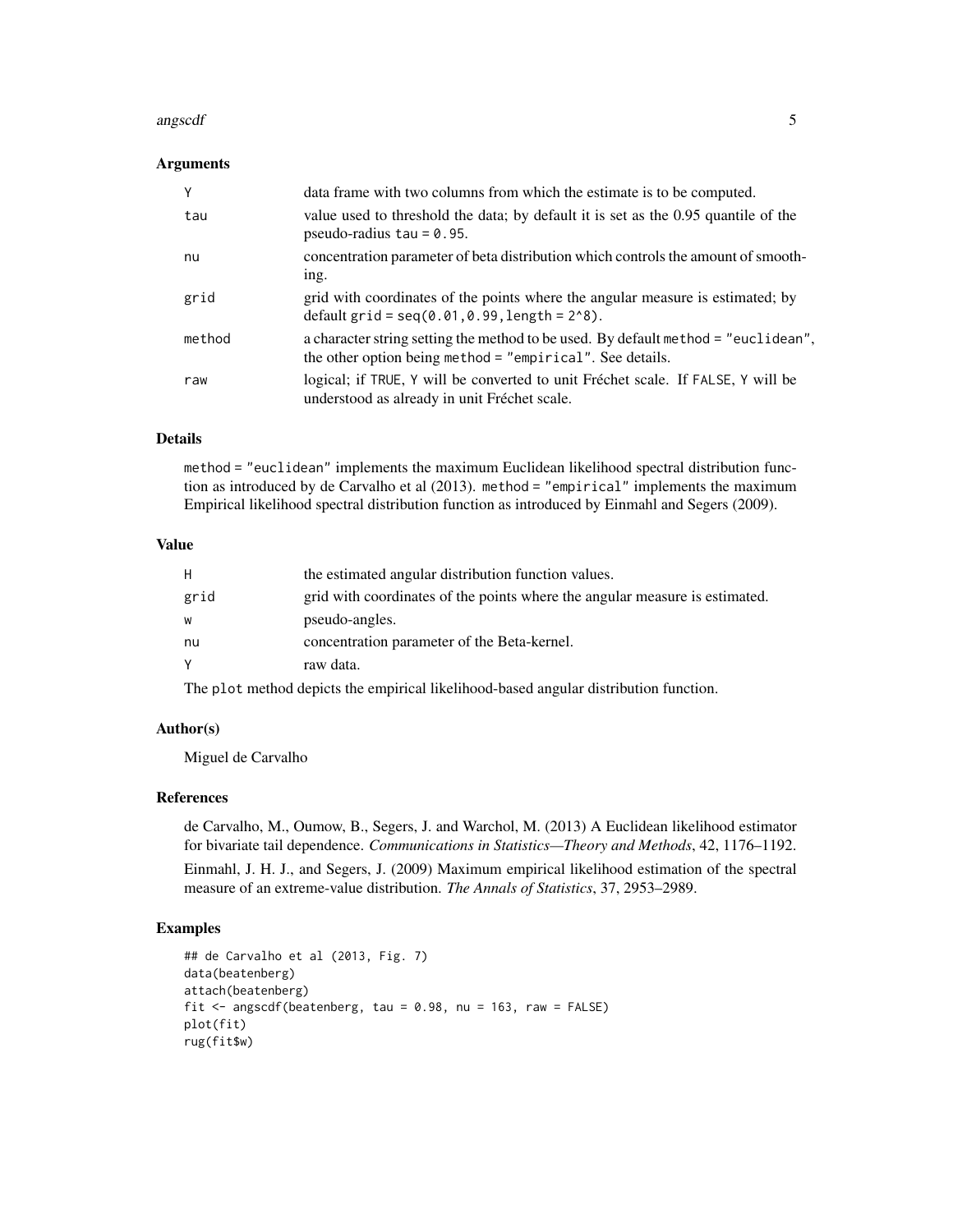#### angscdf 5

#### Arguments

|        | data frame with two columns from which the estimate is to be computed.                                                                            |
|--------|---------------------------------------------------------------------------------------------------------------------------------------------------|
| tau    | value used to threshold the data; by default it is set as the 0.95 quantile of the<br>pseudo-radius $tau = 0.95$ .                                |
| nu     | concentration parameter of beta distribution which controls the amount of smooth-<br>ing.                                                         |
| grid   | grid with coordinates of the points where the angular measure is estimated; by<br>default $grid = seq(0.01, 0.99, length = 28).$                  |
| method | a character string setting the method to be used. By default method = "euclidean",<br>the other option being method $=$ "empirical". See details. |
| raw    | logical; if TRUE, Y will be converted to unit Fréchet scale. If FALSE, Y will be<br>understood as already in unit Fréchet scale.                  |

#### Details

method = "euclidean" implements the maximum Euclidean likelihood spectral distribution function as introduced by de Carvalho et al (2013). method = "empirical" implements the maximum Empirical likelihood spectral distribution function as introduced by Einmahl and Segers (2009).

#### Value

| н    | the estimated angular distribution function values.                         |
|------|-----------------------------------------------------------------------------|
| grid | grid with coordinates of the points where the angular measure is estimated. |
| w    | pseudo-angles.                                                              |
| nu   | concentration parameter of the Beta-kernel.                                 |
|      | raw data.                                                                   |
|      |                                                                             |

The plot method depicts the empirical likelihood-based angular distribution function.

### Author(s)

Miguel de Carvalho

#### References

de Carvalho, M., Oumow, B., Segers, J. and Warchol, M. (2013) A Euclidean likelihood estimator for bivariate tail dependence. *Communications in Statistics—Theory and Methods*, 42, 1176–1192. Einmahl, J. H. J., and Segers, J. (2009) Maximum empirical likelihood estimation of the spectral measure of an extreme-value distribution. *The Annals of Statistics*, 37, 2953–2989.

```
## de Carvalho et al (2013, Fig. 7)
data(beatenberg)
attach(beatenberg)
fit \leq angscdf(beatenberg, tau = 0.98, nu = 163, raw = FALSE)
plot(fit)
rug(fit$w)
```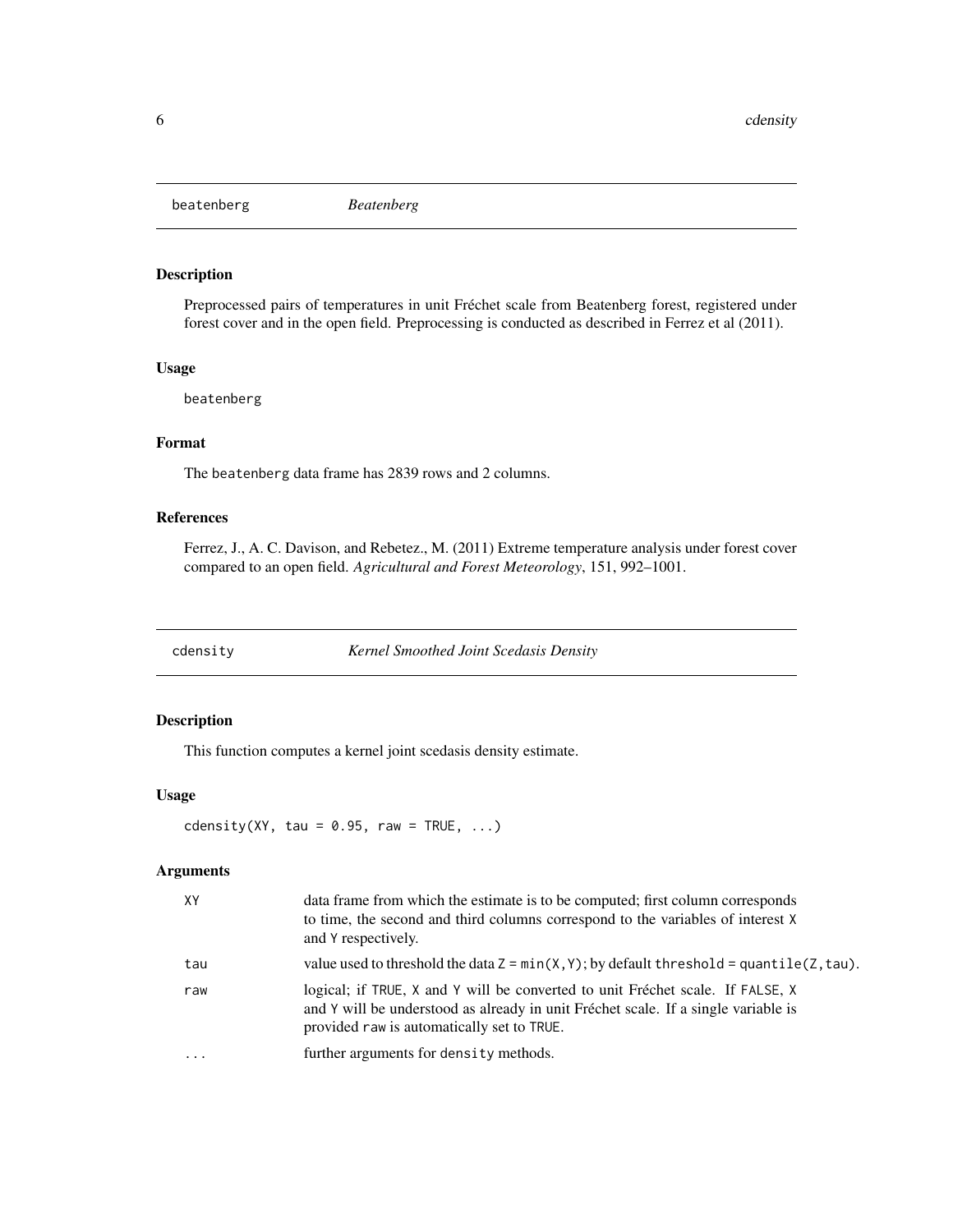<span id="page-5-0"></span>beatenberg *Beatenberg*

#### Description

Preprocessed pairs of temperatures in unit Fréchet scale from Beatenberg forest, registered under forest cover and in the open field. Preprocessing is conducted as described in Ferrez et al (2011).

#### Usage

beatenberg

#### Format

The beatenberg data frame has 2839 rows and 2 columns.

#### References

Ferrez, J., A. C. Davison, and Rebetez., M. (2011) Extreme temperature analysis under forest cover compared to an open field. *Agricultural and Forest Meteorology*, 151, 992–1001.

cdensity *Kernel Smoothed Joint Scedasis Density*

#### Description

This function computes a kernel joint scedasis density estimate.

#### Usage

cdensity(XY, tau =  $0.95$ , raw = TRUE, ...)

#### Arguments

| XY       | data frame from which the estimate is to be computed; first column corresponds<br>to time, the second and third columns correspond to the variables of interest X<br>and Y respectively.                           |
|----------|--------------------------------------------------------------------------------------------------------------------------------------------------------------------------------------------------------------------|
| tau      | value used to threshold the data $Z = min(X, Y)$ ; by default threshold = quantile(Z, tau).                                                                                                                        |
| raw      | logical; if TRUE, X and Y will be converted to unit Fréchet scale. If FALSE, X<br>and Y will be understood as already in unit Fréchet scale. If a single variable is<br>provided raw is automatically set to TRUE. |
| $\cdots$ | further arguments for density methods.                                                                                                                                                                             |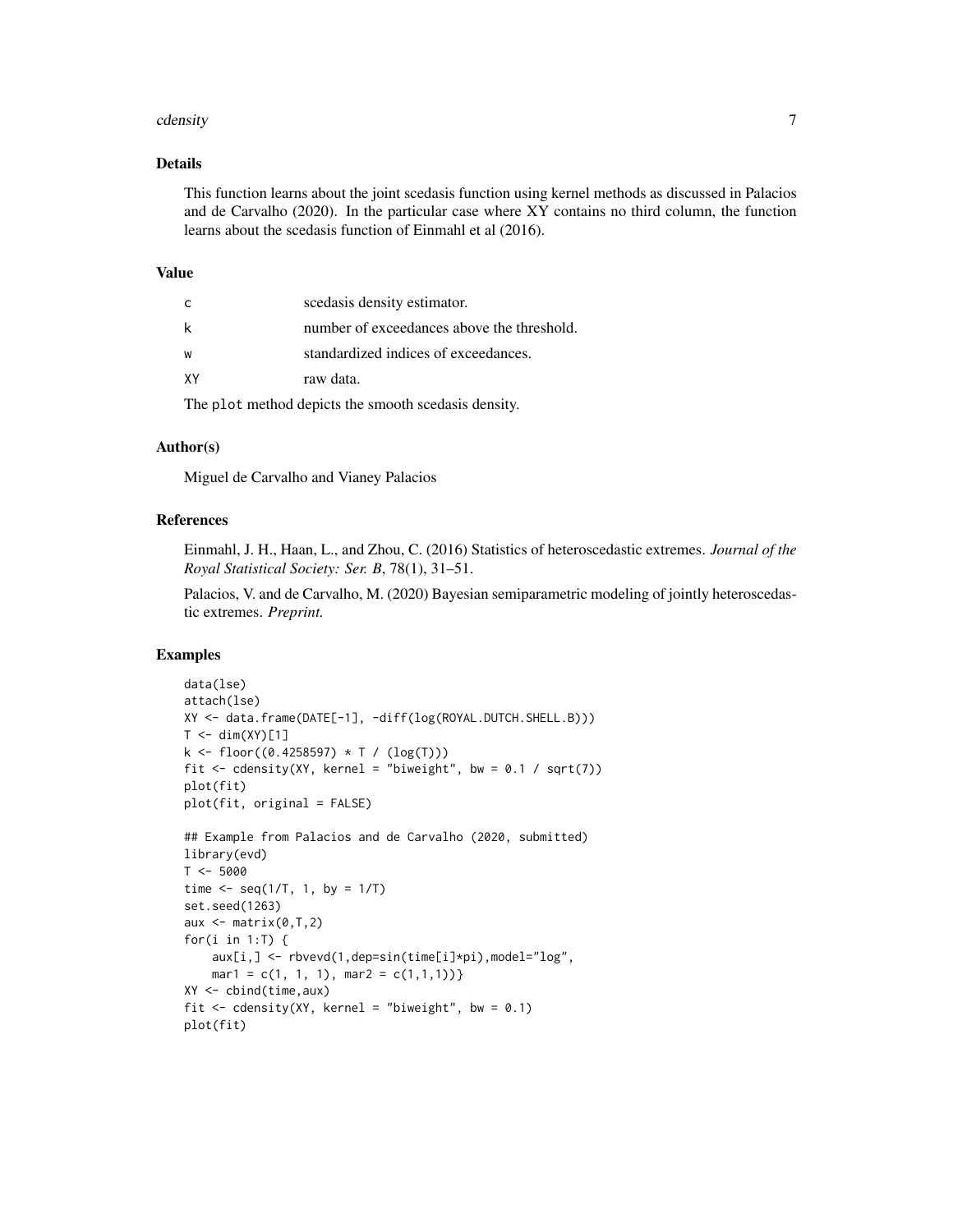#### cdensity 7 and 2008 and 2008 and 2008 and 2008 and 2008 and 2008 and 2008 and 2008 and 2008 and 2008 and 2008  $\sigma$

#### Details

This function learns about the joint scedasis function using kernel methods as discussed in Palacios and de Carvalho (2020). In the particular case where XY contains no third column, the function learns about the scedasis function of Einmahl et al (2016).

#### Value

| C  | scedasis density estimator.                |
|----|--------------------------------------------|
| k  | number of exceedances above the threshold. |
| W  | standardized indices of exceedances.       |
| XΥ | raw data.                                  |

The plot method depicts the smooth scedasis density.

#### Author(s)

Miguel de Carvalho and Vianey Palacios

#### References

Einmahl, J. H., Haan, L., and Zhou, C. (2016) Statistics of heteroscedastic extremes. *Journal of the Royal Statistical Society: Ser. B*, 78(1), 31–51.

Palacios, V. and de Carvalho, M. (2020) Bayesian semiparametric modeling of jointly heteroscedastic extremes. *Preprint.*

```
data(lse)
attach(lse)
XY <- data.frame(DATE[-1], -diff(log(ROYAL.DUTCH.SHELL.B)))
T < -dim(XY)[1]k <- floor((0.4258597) * T / (log(T)))
fit \leq cdensity(XY, kernel = "biweight", bw = 0.1 / sqrt(7))
plot(fit)
plot(fit, original = FALSE)
## Example from Palacios and de Carvalho (2020, submitted)
library(evd)
T < -5000time \leq seq(1/T, 1, by = 1/T)
set.seed(1263)
aux \leq matrix(0,T,2)
for(i in 1:T) \{aux[i,] <- rbvevd(1,dep=sin(time[i]*pi),model="log",
    mar1 = c(1, 1, 1), mar2 = c(1, 1, 1))XY <- cbind(time,aux)
fit \le cdensity(XY, kernel = "biweight", bw = 0.1)
plot(fit)
```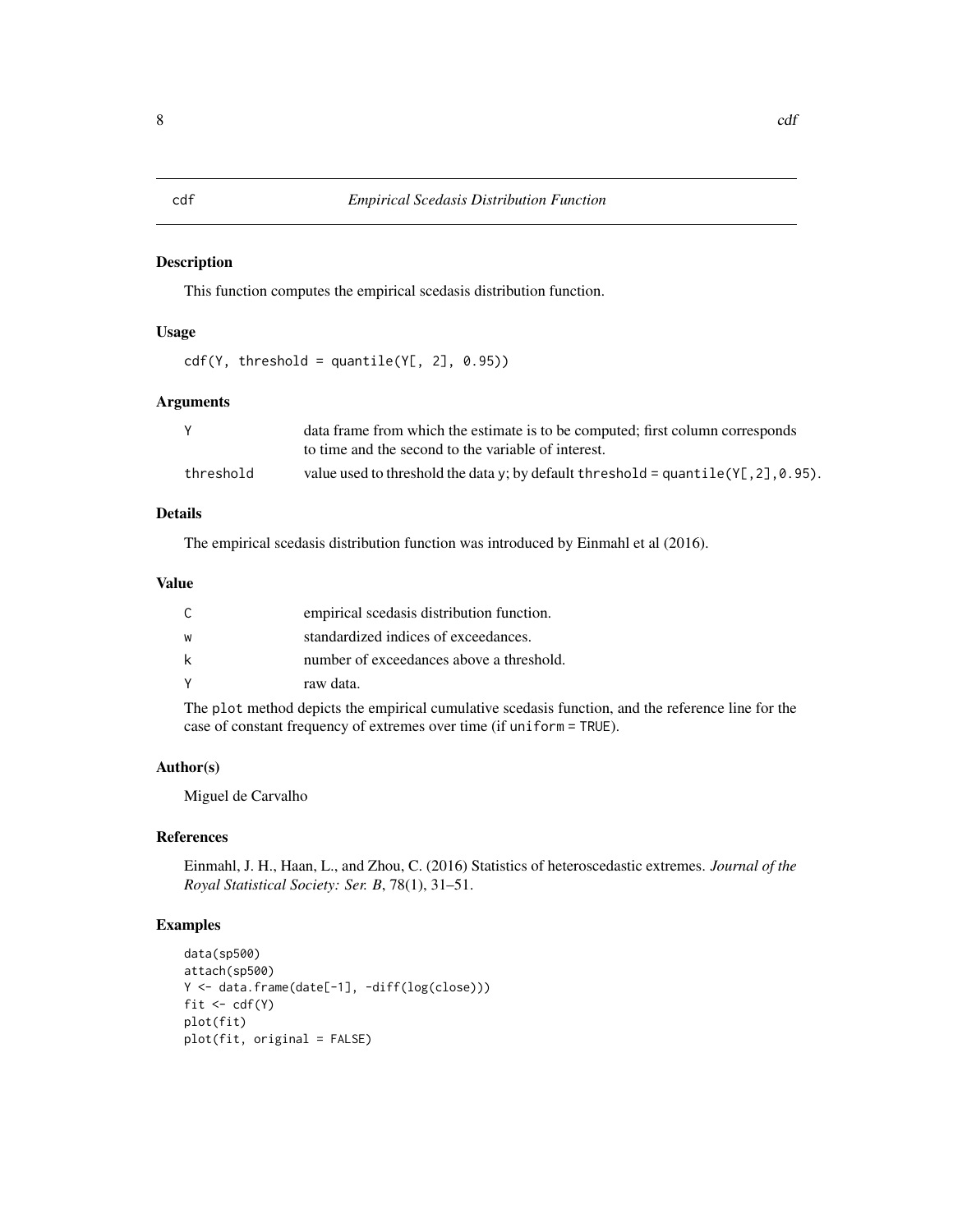#### <span id="page-7-0"></span>Description

This function computes the empirical scedasis distribution function.

#### Usage

```
cdf(Y, threshold = quantile(Y[, 2], 0.95))
```
#### Arguments

|           | data frame from which the estimate is to be computed; first column corresponds        |
|-----------|---------------------------------------------------------------------------------------|
|           | to time and the second to the variable of interest.                                   |
| threshold | value used to threshold the data y; by default threshold = quantile( $Y$ [,2], 0.95). |

#### Details

The empirical scedasis distribution function was introduced by Einmahl et al (2016).

#### Value

| C | empirical scedasis distribution function. |
|---|-------------------------------------------|
| W | standardized indices of exceedances.      |
| k | number of exceedances above a threshold.  |
| ٧ | raw data.                                 |

The plot method depicts the empirical cumulative scedasis function, and the reference line for the case of constant frequency of extremes over time (if uniform = TRUE).

#### Author(s)

Miguel de Carvalho

#### References

Einmahl, J. H., Haan, L., and Zhou, C. (2016) Statistics of heteroscedastic extremes. *Journal of the Royal Statistical Society: Ser. B*, 78(1), 31–51.

```
data(sp500)
attach(sp500)
Y <- data.frame(date[-1], -diff(log(close)))
fit \leftarrow cdf(Y)
plot(fit)
plot(fit, original = FALSE)
```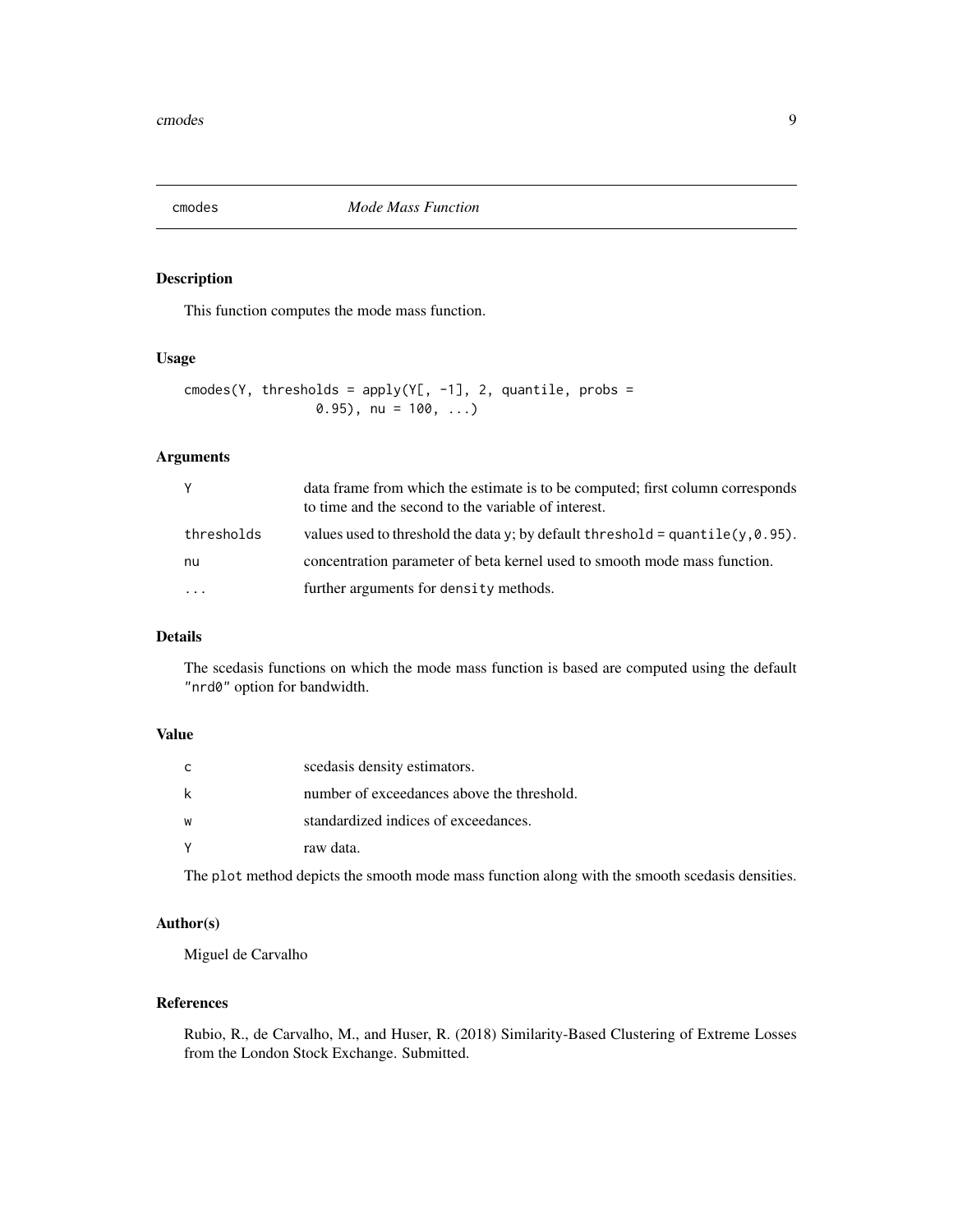<span id="page-8-0"></span>

#### Description

This function computes the mode mass function.

#### Usage

```
cmodes(Y, thresholds = apply(Y[, -1], 2, quantile, probs =
                 (0.95), nu = 100, ...)
```
#### Arguments

| Υ                       | data frame from which the estimate is to be computed; first column corresponds<br>to time and the second to the variable of interest. |
|-------------------------|---------------------------------------------------------------------------------------------------------------------------------------|
| thresholds              | values used to threshold the data y; by default threshold = quantile( $y$ , 0.95).                                                    |
| nu                      | concentration parameter of beta kernel used to smooth mode mass function.                                                             |
| $\cdot$ $\cdot$ $\cdot$ | further arguments for density methods.                                                                                                |

#### Details

The scedasis functions on which the mode mass function is based are computed using the default "nrd0" option for bandwidth.

#### Value

| C      | scedasis density estimators.               |
|--------|--------------------------------------------|
| k      | number of exceedances above the threshold. |
| W      | standardized indices of exceedances.       |
| $\vee$ | raw data.                                  |

The plot method depicts the smooth mode mass function along with the smooth scedasis densities.

### Author(s)

Miguel de Carvalho

#### References

Rubio, R., de Carvalho, M., and Huser, R. (2018) Similarity-Based Clustering of Extreme Losses from the London Stock Exchange. Submitted.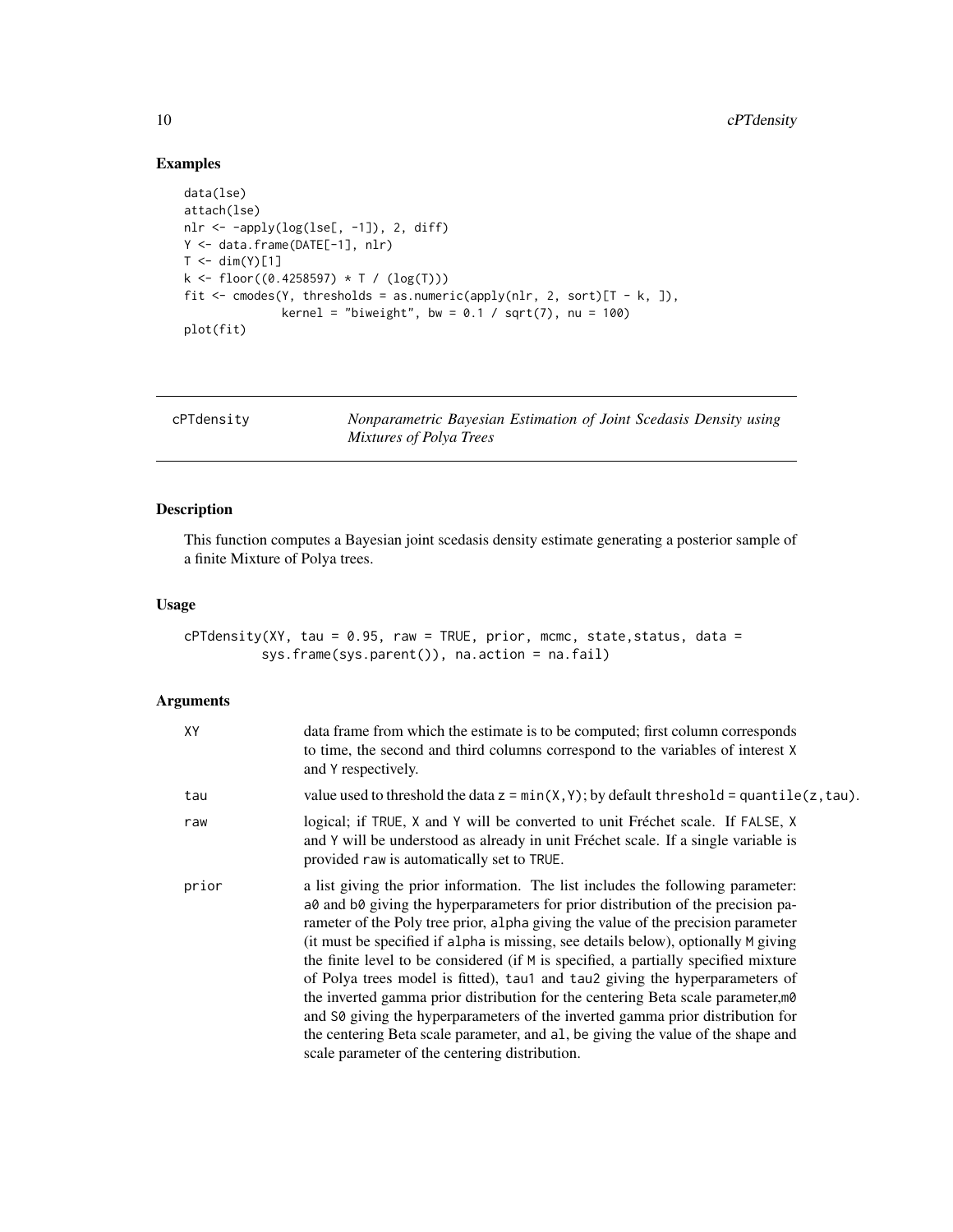#### Examples

```
data(lse)
attach(lse)
nlr <- -apply(log(lse[, -1]), 2, diff)
Y <- data.frame(DATE[-1], nlr)
T < -dim(Y)[1]k \leq floor((0.4258597) * T / (log(T)))fit \leq cmodes(Y, thresholds = as.numeric(apply(nlr, 2, sort)[T - k, ]),
              kernel = "biweight", bw = 0.1 / sqrt(7), nu = 100)
plot(fit)
```
cPTdensity *Nonparametric Bayesian Estimation of Joint Scedasis Density using Mixtures of Polya Trees*

#### Description

This function computes a Bayesian joint scedasis density estimate generating a posterior sample of a finite Mixture of Polya trees.

#### Usage

```
cPTdensity(XY, tau = 0.95, raw = TRUE, prior, mcmc, state, status, data =
          sys.frame(sys.parent()), na.action = na.fail)
```
#### Arguments

| XY    | data frame from which the estimate is to be computed; first column corresponds<br>to time, the second and third columns correspond to the variables of interest X<br>and Y respectively.                                                                                                                                                                                                                                                                                                                                                                                                                                                                                                                                                                                                                                          |
|-------|-----------------------------------------------------------------------------------------------------------------------------------------------------------------------------------------------------------------------------------------------------------------------------------------------------------------------------------------------------------------------------------------------------------------------------------------------------------------------------------------------------------------------------------------------------------------------------------------------------------------------------------------------------------------------------------------------------------------------------------------------------------------------------------------------------------------------------------|
| tau   | value used to threshold the data $z = min(X, Y)$ ; by default threshold = quantile(z, tau).                                                                                                                                                                                                                                                                                                                                                                                                                                                                                                                                                                                                                                                                                                                                       |
| raw   | logical; if TRUE, X and Y will be converted to unit Fréchet scale. If FALSE, X<br>and Y will be understood as already in unit Fréchet scale. If a single variable is<br>provided raw is automatically set to TRUE.                                                                                                                                                                                                                                                                                                                                                                                                                                                                                                                                                                                                                |
| prior | a list giving the prior information. The list includes the following parameter:<br>a0 and b0 giving the hyperparameters for prior distribution of the precision pa-<br>rameter of the Poly tree prior, alpha giving the value of the precision parameter<br>(it must be specified if alpha is missing, see details below), optionally M giving<br>the finite level to be considered (if M is specified, a partially specified mixture<br>of Polya trees model is fitted), tau1 and tau2 giving the hyperparameters of<br>the inverted gamma prior distribution for the centering Beta scale parameter, mo<br>and S0 giving the hyperparameters of the inverted gamma prior distribution for<br>the centering Beta scale parameter, and al, be giving the value of the shape and<br>scale parameter of the centering distribution. |

<span id="page-9-0"></span>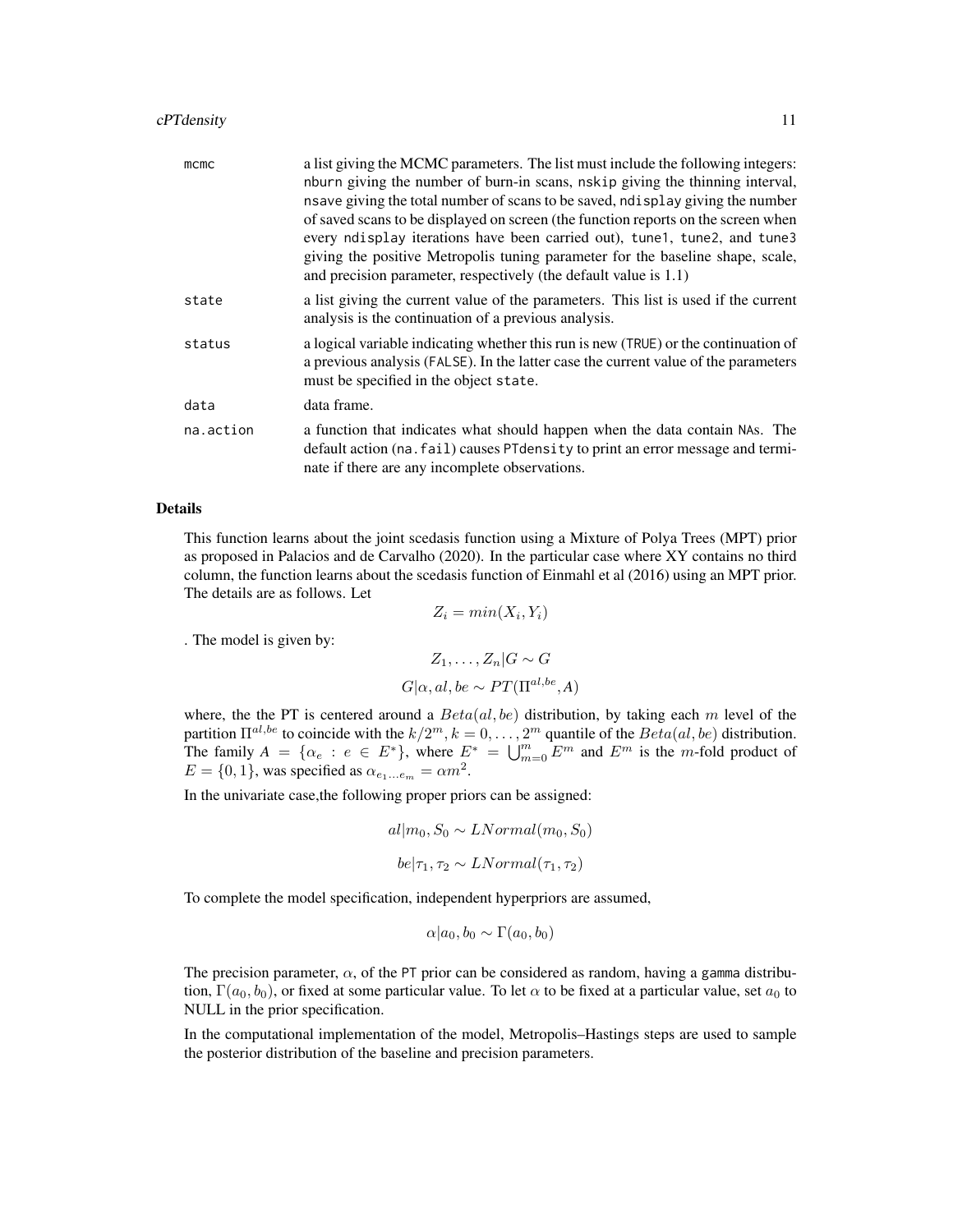#### cPTdensity 11

| mcmc      | a list giving the MCMC parameters. The list must include the following integers:<br>nburn giving the number of burn-in scans, nskip giving the thinning interval,<br>nsave giving the total number of scans to be saved, not splay giving the number<br>of saved scans to be displayed on screen (the function reports on the screen when<br>every ndisplay iterations have been carried out), tune1, tune2, and tune3<br>giving the positive Metropolis tuning parameter for the baseline shape, scale,<br>and precision parameter, respectively (the default value is 1.1) |
|-----------|------------------------------------------------------------------------------------------------------------------------------------------------------------------------------------------------------------------------------------------------------------------------------------------------------------------------------------------------------------------------------------------------------------------------------------------------------------------------------------------------------------------------------------------------------------------------------|
| state     | a list giving the current value of the parameters. This list is used if the current<br>analysis is the continuation of a previous analysis.                                                                                                                                                                                                                                                                                                                                                                                                                                  |
| status    | a logical variable indicating whether this run is new (TRUE) or the continuation of<br>a previous analysis (FALSE). In the latter case the current value of the parameters<br>must be specified in the object state.                                                                                                                                                                                                                                                                                                                                                         |
| data      | data frame.                                                                                                                                                                                                                                                                                                                                                                                                                                                                                                                                                                  |
| na.action | a function that indicates what should happen when the data contain NAs. The<br>default action (na. fail) causes PT density to print an error message and termi-<br>nate if there are any incomplete observations.                                                                                                                                                                                                                                                                                                                                                            |

#### Details

This function learns about the joint scedasis function using a Mixture of Polya Trees (MPT) prior as proposed in Palacios and de Carvalho (2020). In the particular case where XY contains no third column, the function learns about the scedasis function of Einmahl et al (2016) using an MPT prior. The details are as follows. Let

 $Z_i = min(X_i, Y_i)$ 

. The model is given by:

$$
Z_1, \dots, Z_n | G \sim G
$$
  

$$
G | \alpha, al, be \sim PT(\Pi^{al, be}, A)
$$

where, the the PT is centered around a  $Beta(al, be)$  distribution, by taking each m level of the partition  $\Pi^{al,be}$  to coincide with the  $k/2^m$ ,  $k = 0, \ldots, 2^m$  quantile of the  $Beta(al, be)$  distribution. The family  $A = \{\alpha_e : e \in E^*\}$ , where  $E^* = \bigcup_{m=0}^m E^m$  and  $E^m$  is the m-fold product of  $E = \{0, 1\}$ , was specified as  $\alpha_{e_1...e_m} = \alpha m^2$ .

In the univariate case,the following proper priors can be assigned:

$$
al|m_0, S_0 \sim LNormal(m_0, S_0)
$$
  

$$
be|\tau_1, \tau_2 \sim LNormal(\tau_1, \tau_2)
$$

To complete the model specification, independent hyperpriors are assumed,

$$
\alpha|a_0, b_0 \sim \Gamma(a_0, b_0)
$$

The precision parameter,  $\alpha$ , of the PT prior can be considered as random, having a gamma distribution,  $\Gamma(a_0, b_0)$ , or fixed at some particular value. To let  $\alpha$  to be fixed at a particular value, set  $a_0$  to NULL in the prior specification.

In the computational implementation of the model, Metropolis–Hastings steps are used to sample the posterior distribution of the baseline and precision parameters.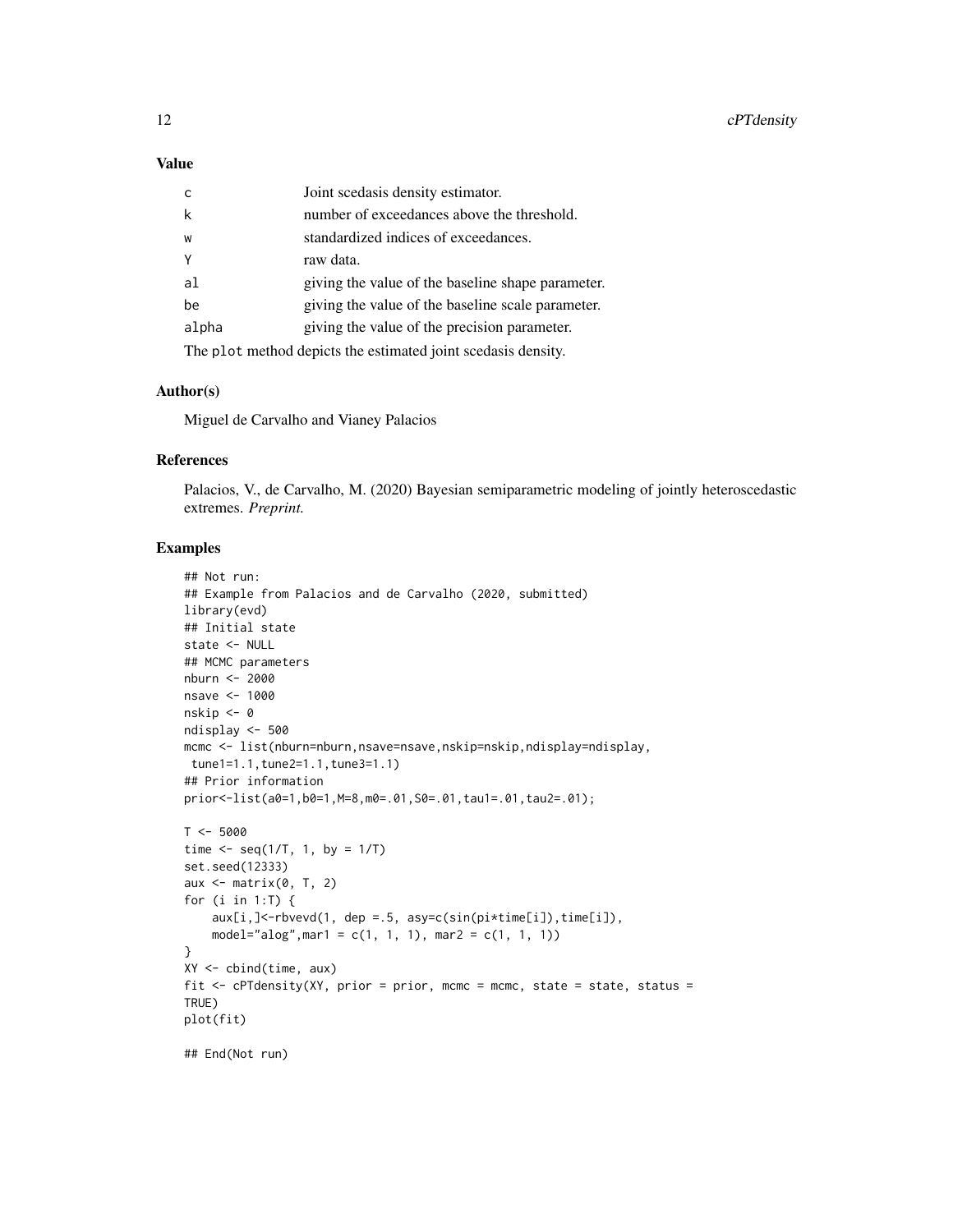#### Value

| $\mathsf{C}$                                                  | Joint scedasis density estimator.                 |
|---------------------------------------------------------------|---------------------------------------------------|
| k                                                             | number of exceedances above the threshold.        |
| W                                                             | standardized indices of exceedances.              |
| Y                                                             | raw data.                                         |
| al                                                            | giving the value of the baseline shape parameter. |
| be                                                            | giving the value of the baseline scale parameter. |
| alpha                                                         | giving the value of the precision parameter.      |
| The plot method depicts the estimated joint scedasis density. |                                                   |

#### Author(s)

Miguel de Carvalho and Vianey Palacios

#### References

Palacios, V., de Carvalho, M. (2020) Bayesian semiparametric modeling of jointly heteroscedastic extremes. *Preprint.*

```
## Not run:
## Example from Palacios and de Carvalho (2020, submitted)
library(evd)
## Initial state
state <- NULL
## MCMC parameters
nburn <- 2000
nsave <- 1000
nskip <- 0
ndisplay <- 500
mcmc <- list(nburn=nburn,nsave=nsave,nskip=nskip,ndisplay=ndisplay,
tune1=1.1,tune2=1.1,tune3=1.1)
## Prior information
prior<-list(a0=1,b0=1,M=8,m0=.01,S0=.01,tau1=.01,tau2=.01);
T < -5000time \leq seq(1/T, 1, by = 1/T)
set.seed(12333)
aux \leq matrix(0, T, 2)
for (i in 1:T) {
    aux[i,] <- rbvevd(1, dep = .5, asy=c(sin(pi*time[i]), time[i]),
    model="alog", mar1 = c(1, 1, 1), mar2 = c(1, 1, 1))
}
XY <- cbind(time, aux)
fit \leq cPTdensity(XY, prior = prior, mcmc = mcmc, state = state, status =
TRUE)
plot(fit)
## End(Not run)
```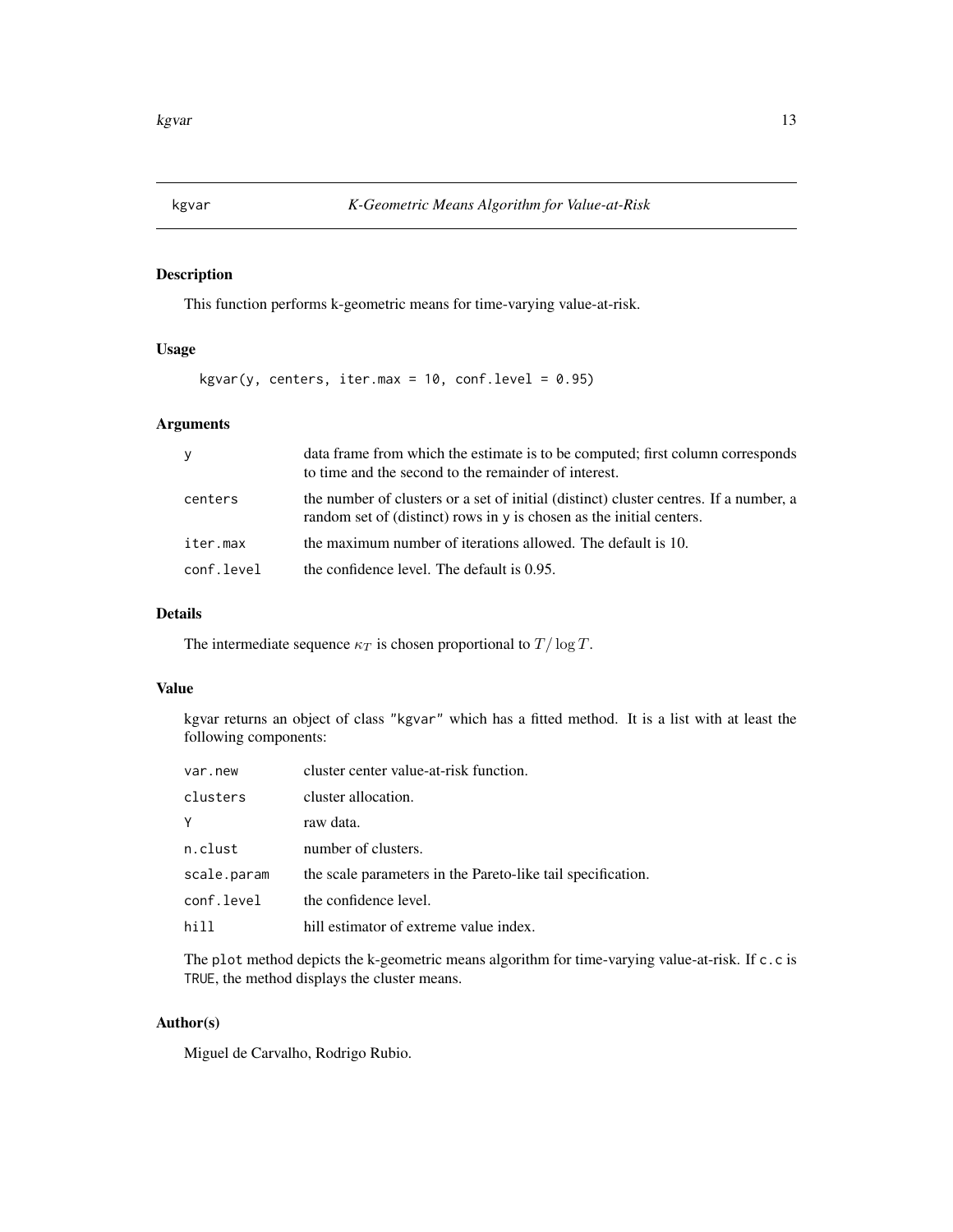#### <span id="page-12-0"></span>Description

This function performs k-geometric means for time-varying value-at-risk.

#### Usage

 $kgvar(y, centers, iter.max = 10, conf. level = 0.95)$ 

#### Arguments

| y          | data frame from which the estimate is to be computed; first column corresponds<br>to time and the second to the remainder of interest.                            |
|------------|-------------------------------------------------------------------------------------------------------------------------------------------------------------------|
| centers    | the number of clusters or a set of initial (distinct) cluster centres. If a number, a<br>random set of (distinct) rows in $\nu$ is chosen as the initial centers. |
| iter.max   | the maximum number of iterations allowed. The default is 10.                                                                                                      |
| conf.level | the confidence level. The default is 0.95.                                                                                                                        |

#### Details

The intermediate sequence  $\kappa_T$  is chosen proportional to  $T / \log T$ .

#### Value

kgvar returns an object of class "kgvar" which has a fitted method. It is a list with at least the following components:

| var.new     | cluster center value-at-risk function.                      |
|-------------|-------------------------------------------------------------|
| clusters    | cluster allocation.                                         |
| Y           | raw data.                                                   |
| n.clust     | number of clusters.                                         |
| scale.param | the scale parameters in the Pareto-like tail specification. |
| conf.level  | the confidence level.                                       |
| hill        | hill estimator of extreme value index.                      |

The plot method depicts the k-geometric means algorithm for time-varying value-at-risk. If c.c is TRUE, the method displays the cluster means.

#### Author(s)

Miguel de Carvalho, Rodrigo Rubio.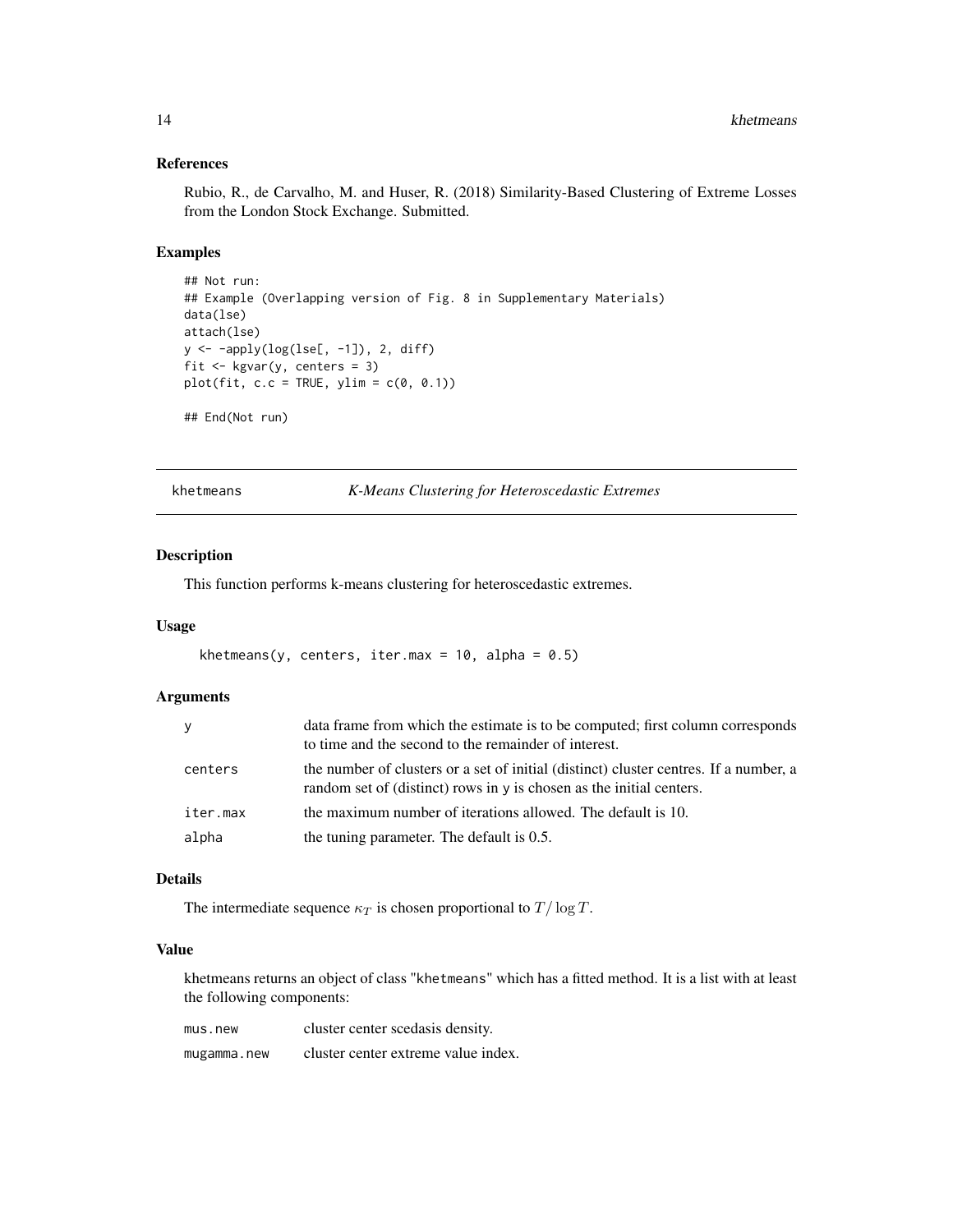#### References

Rubio, R., de Carvalho, M. and Huser, R. (2018) Similarity-Based Clustering of Extreme Losses from the London Stock Exchange. Submitted.

#### Examples

```
## Not run:
## Example (Overlapping version of Fig. 8 in Supplementary Materials)
data(lse)
attach(lse)
y <- -apply(log(lse[, -1]), 2, diff)
fit <- kgvar(y, centers = 3)
plot(fit, c.c = TRUE, ylim = c(0, 0.1))
```
## End(Not run)

khetmeans *K-Means Clustering for Heteroscedastic Extremes*

#### Description

This function performs k-means clustering for heteroscedastic extremes.

#### Usage

```
khetmeans(y, centers, iter.max = 10, alpha = 0.5)
```
#### Arguments

| y        | data frame from which the estimate is to be computed; first column corresponds<br>to time and the second to the remainder of interest.                        |
|----------|---------------------------------------------------------------------------------------------------------------------------------------------------------------|
| centers  | the number of clusters or a set of initial (distinct) cluster centres. If a number, a<br>random set of (distinct) rows in y is chosen as the initial centers. |
| iter.max | the maximum number of iterations allowed. The default is 10.                                                                                                  |
| alpha    | the tuning parameter. The default is 0.5.                                                                                                                     |

#### Details

The intermediate sequence  $\kappa_T$  is chosen proportional to  $T / \log T$ .

#### Value

khetmeans returns an object of class "khetmeans" which has a fitted method. It is a list with at least the following components:

| mus.new     | cluster center scedasis density.    |
|-------------|-------------------------------------|
| mugamma.new | cluster center extreme value index. |

<span id="page-13-0"></span>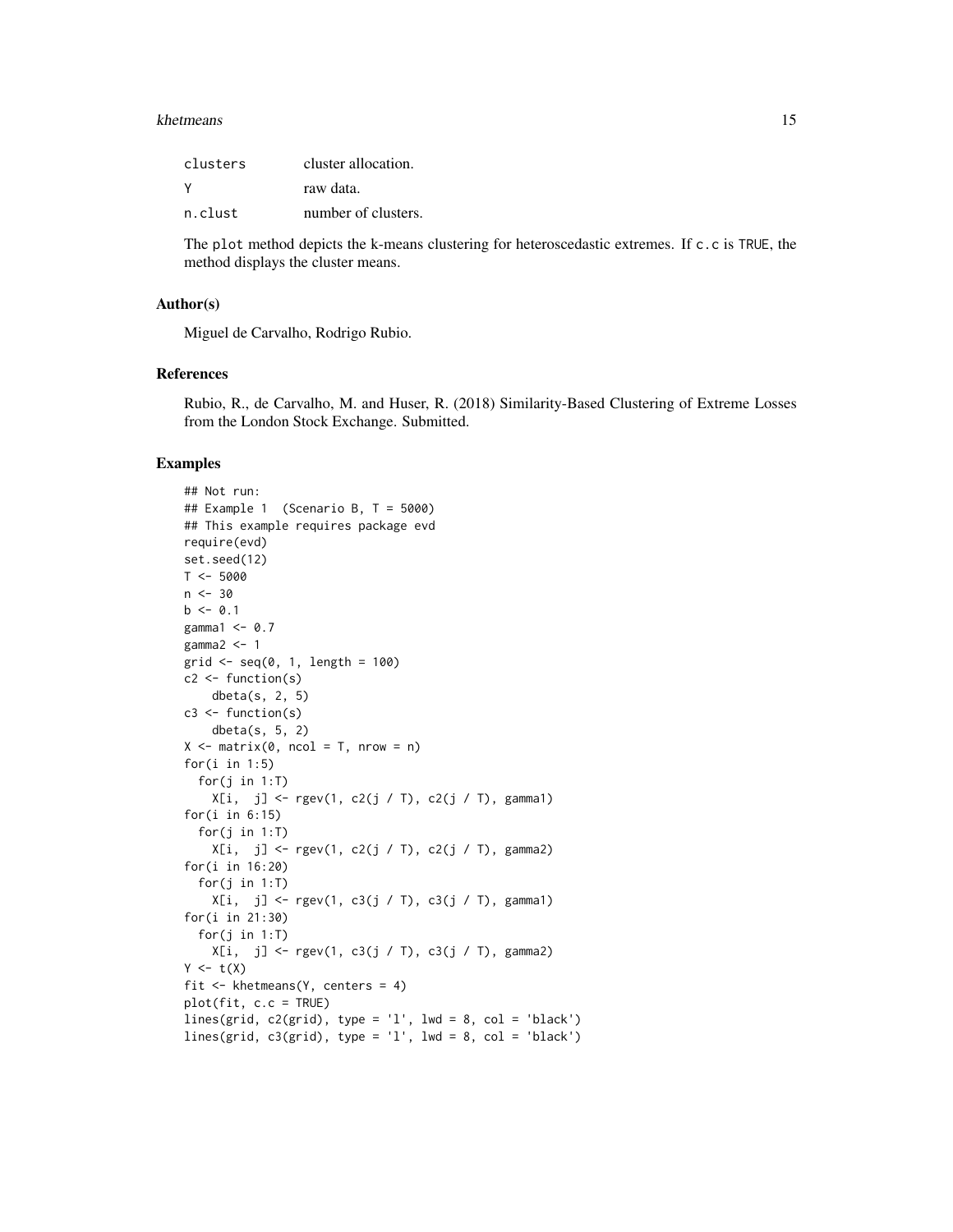#### khetmeans and the set of the set of the set of the set of the set of the set of the set of the set of the set of the set of the set of the set of the set of the set of the set of the set of the set of the set of the set of

| clusters | cluster allocation. |
|----------|---------------------|
| ٧        | raw data.           |
| n.clust  | number of clusters. |

The plot method depicts the k-means clustering for heteroscedastic extremes. If c.c is TRUE, the method displays the cluster means.

#### Author(s)

Miguel de Carvalho, Rodrigo Rubio.

#### References

Rubio, R., de Carvalho, M. and Huser, R. (2018) Similarity-Based Clustering of Extreme Losses from the London Stock Exchange. Submitted.

```
## Not run:
## Example 1 (Scenario B, T = 5000)
## This example requires package evd
require(evd)
set.seed(12)
T < -5000n < -30b \le -0.1gamma1 \le -0.7gamma2 < -1grid \leq seq(0, 1, length = 100)
c2 <- function(s)
    dbeta(s, 2, 5)
c3 <- function(s)
    dbeta(s, 5, 2)
X \le - matrix(0, ncol = T, nrow = n)
for(i in 1:5)
  for(j in 1:T)
    X[i, j] \leftarrow \text{rgev}(1, c2(j / T), c2(j / T), \text{gamma1})for(i in 6:15)
  for(j in 1:T)
    X[i, j] \leftarrow \text{rgev}(1, c2(j / T), c2(j / T), \text{gamma2})for(i in 16:20)
  for(j in 1:T)
    X[i, j] <- rgev(1, c3(j / T), c3(j / T), gamma1)
for(i in 21:30)
  for(j in 1:T)
    X[i, j] \leq rgev(1, c3(j / T), c3(j / T), gamma2)Y \leftarrow t(X)fit <- khetmeans(Y, centers = 4)
plot(fit, c.c = TRUE)
lines(grid, c2(grid), type = 'l', lwd = 8, col = 'black')
lines(grid, c3(grid), type = 'l', lwd = 8, col = 'black')
```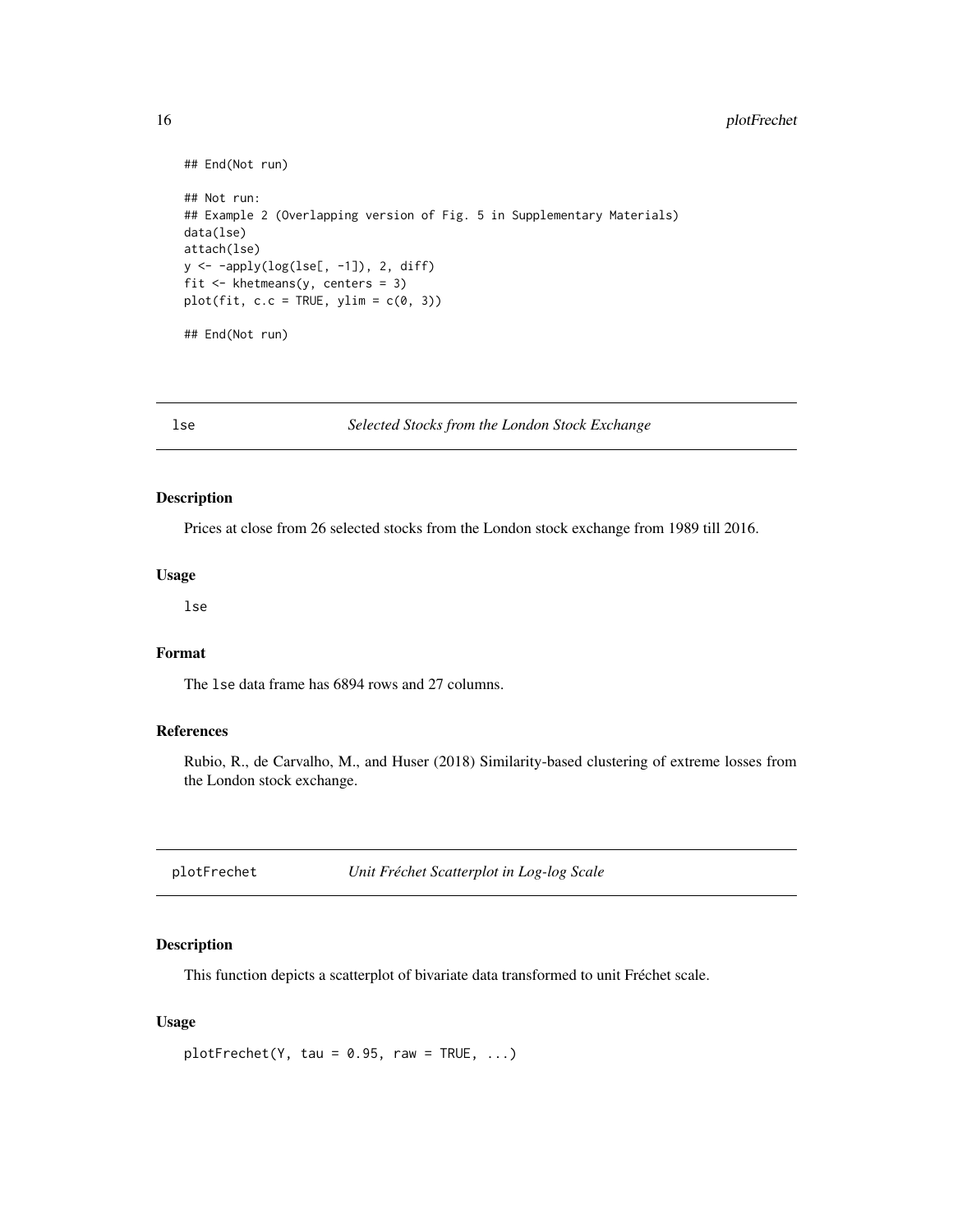```
## End(Not run)
## Not run:
## Example 2 (Overlapping version of Fig. 5 in Supplementary Materials)
data(lse)
attach(lse)
y <- -apply(log(lse[, -1]), 2, diff)
fit <- khetmeans(y, centers = 3)
plot(fit, c.c = TRUE, ylim = c(0, 3))
## End(Not run)
```
lse *Selected Stocks from the London Stock Exchange*

#### Description

Prices at close from 26 selected stocks from the London stock exchange from 1989 till 2016.

#### Usage

lse

#### Format

The lse data frame has 6894 rows and 27 columns.

#### References

Rubio, R., de Carvalho, M., and Huser (2018) Similarity-based clustering of extreme losses from the London stock exchange.

plotFrechet *Unit Fréchet Scatterplot in Log-log Scale*

#### Description

This function depicts a scatterplot of bivariate data transformed to unit Fréchet scale.

#### Usage

 $plotFrechet(Y, tau = 0.95, raw = TRUE, ...)$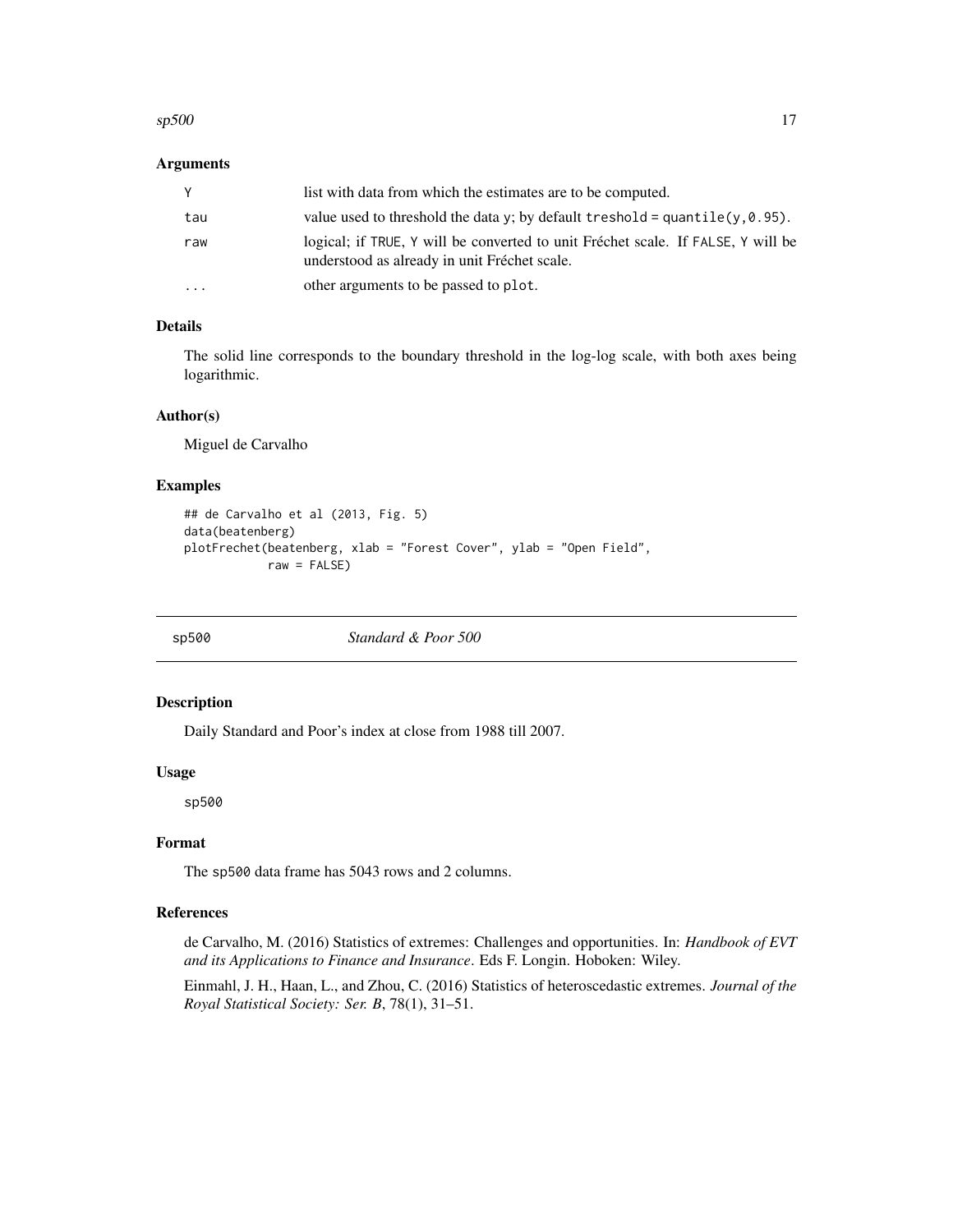#### <span id="page-16-0"></span> $\frac{17}{2}$  sp500

#### Arguments

|           | list with data from which the estimates are to be computed.                                                                      |
|-----------|----------------------------------------------------------------------------------------------------------------------------------|
| tau       | value used to threshold the data y; by default treshold = $quantile(y, 0.95)$ .                                                  |
| raw       | logical; if TRUE, Y will be converted to unit Fréchet scale. If FALSE, Y will be<br>understood as already in unit Fréchet scale. |
| $\ddotsc$ | other arguments to be passed to plot.                                                                                            |

## Details

The solid line corresponds to the boundary threshold in the log-log scale, with both axes being logarithmic.

#### Author(s)

Miguel de Carvalho

#### Examples

```
## de Carvalho et al (2013, Fig. 5)
data(beatenberg)
plotFrechet(beatenberg, xlab = "Forest Cover", ylab = "Open Field",
            raw = FALSE)
```
sp500 *Standard & Poor 500*

#### Description

Daily Standard and Poor's index at close from 1988 till 2007.

#### Usage

sp500

#### Format

The sp500 data frame has 5043 rows and 2 columns.

#### References

de Carvalho, M. (2016) Statistics of extremes: Challenges and opportunities. In: *Handbook of EVT and its Applications to Finance and Insurance*. Eds F. Longin. Hoboken: Wiley.

Einmahl, J. H., Haan, L., and Zhou, C. (2016) Statistics of heteroscedastic extremes. *Journal of the Royal Statistical Society: Ser. B*, 78(1), 31–51.